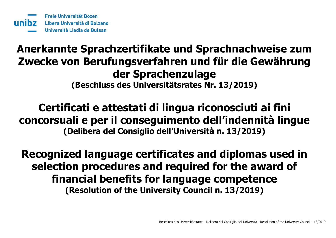# **Anerkannte Sprachzertifikate und Sprachnachweise zum Zwecke von Berufungsverfahren und für die Gewährung der Sprachenzulage (Beschluss des Universitätsrates Nr. 13/2019)**

# **Certificati e attestati di lingua riconosciuti ai fini concorsuali e per il conseguimento dell'indennità lingue (Delibera del Consiglio dell'Università n. 13/2019)**

**Recognized language certificates and diplomas used in selection procedures and required for the award of financial benefits for language competence (Resolution of the University Council n. 13/2019)**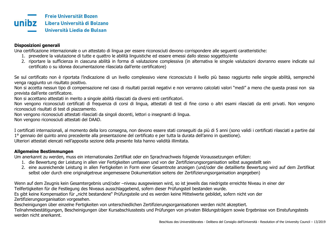#### **Disposizioni generali**

Una certificazione internazionale o un attestato di lingua per essere riconosciuti devono corrispondere alle seguenti caratteristiche:

- 1. prevedere la valutazione di tutte e quattro le abilità linguistiche ed essere emessi dallo stesso soggetto/ente
- 2. riportare la sufficienza in ciascuna abilità in forma di valutazione complessiva (in alternativa le singole valutazioni dovranno essere indicate sul certificato o su idonea documentazione rilasciata dall'ente certificatore)

Se sul certificato non è riportata l'indicazione di un livello complessivo viene riconosciuto il livello più basso raggiunto nelle singole abilità, sempreché venga raggiunto un risultato positivo.

Non si accetta nessun tipo di compensazione nel caso di risultati parziali negativi e non verranno calcolati valori "medi" a meno che questa prassi non sia prevista dall'ente certificatore.

Non si accettano attestati in merito a singole abilità rilasciati da diversi enti certificatori.

Non vengono riconosciuti certificati di frequenza di corsi di lingua, attestati di test di fine corso o altri esami rilasciati da enti privati. Non vengono riconosciuti risultati di test di piazzamento.

Non vengono riconosciuti attestati rilasciati da singoli docenti, lettori o insegnanti di lingua.

Non vengono riconosciuti attestati del DAAD.

I certificati internazionali, al momento della loro consegna, non devono essere stati conseguiti da più di 5 anni (sono validi i certificati rilasciati a partire dal 1° gennaio del quinto anno precedente alla presentazione del certificato e per tutta la durata dell'anno in questione).

Ulteriori attestati elencati nell'apposita sezione della presente lista hanno validità illimitata.

#### **Allgemeine Bestimmungen**

Um anerkannt zu werden, muss ein internationales Zertifikat oder ein Sprachnachweis folgende Voraussetzungen erfüllen:

- 1. die Bewertung der Leistung in allen vier Fertigkeiten umfassen und von der Zertifizierungsorganisation selbst ausgestellt sein
- 2. eine ausreichende Leistung in allen Fertigkeiten in Form einer Gesamtnote anzeigen (und/oder die detaillierte Bewertung wird auf dem Zertifikat selbst oder durch eine originalgetreue angemessene Dokumentation seitens der Zertifizierungsorganisation angegeben)

Wenn auf dem Zeugnis kein Gesamtergebnis und/oder –niveau ausgewiesen wird, so ist jeweils das niedrigste erreichte Niveau in einer der Teilfertigkeiten für die Festlegung des Niveaus ausschlaggebend, sofern dieser Prüfungsteil bestanden wurde.

Es gibt keine Kompensation für "nicht bestandene" Prüfungsteile und es werden keine Mittelwerte gebildet, sofern nicht von der Zertifizierungsorganisation vorgesehen.

Bescheinigungen über einzelne Fertigkeiten von unterschiedlichen Zertifizierungsorganisationen werden nicht akzeptiert.

Teilnahmebestätigungen, Bescheinigungen über Kursabschlusstests und Prüfungen von privaten Bildungsträgern sowie Ergebnisse von Einstufungstests werden nicht anerkannt.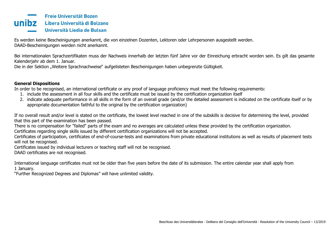

Es werden keine Bescheinigungen anerkannt, die von einzelnen Dozenten, Lektoren oder Lehrpersonen ausgestellt werden. DAAD-Bescheinigungen werden nicht anerkannt.

Bei internationalen Sprachzertifikaten muss der Nachweis innerhalb der letzten fünf Jahre vor der Einreichung erbracht worden sein. Es gilt das gesamte Kalenderjahr ab dem 1. Januar.

Die in der Sektion "Weitere Sprachnachweise" aufgelisteten Bescheinigungen haben unbegrenzte Gültigkeit.

#### **General Dispositions**

In order to be recognised, an international certificate or any proof of language proficiency must meet the following requirements:

- 1. include the assessment in all four skills and the certificate must be issued by the certification organization itself
- 2. indicate adequate performance in all skills in the form of an overall grade (and/or the detailed assessment is indicated on the certificate itself or by appropriate documentation faithful to the original by the certification organization)

If no overall result and/or level is stated on the certificate, the lowest level reached in one of the subskills is decisive for determining the level, provided that this part of the examination has been passed.

There is no compensation for "failed" parts of the exam and no averages are calculated unless these provided by the certification organization. Certificates regarding single skills issued by different certification organizations will not be accepted.

Certificates of participation, certificates of end-of-course-tests and examinations from private educational institutions as well as results of placement tests will not be recognised.

Certificates issued by individual lecturers or teaching staff will not be recognised.

DAAD certificates are not recognised.

International language certificates must not be older than five years before the date of its submission. The entire calendar year shall apply from 1 January.

"Further Recognized Degrees and Diplomas" will have unlimited validity.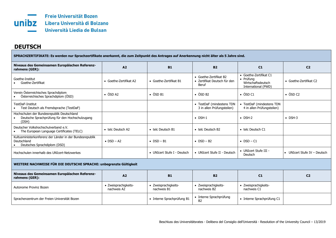

## **DEUTSCH**

**SPRACHZERTIFIKATE: Es werden nur Sprachzertifikate anerkannt, die zum Zeitpunkt des Antrages auf Anerkennung nicht älter als 5 Jahre sind.**

| Niveaus des Gemeinsamen Europäischen Referenz-<br>rahmens (GER):                                        | A2                                  | <b>B1</b>                           | <b>B2</b>                                                       | C1                                                                               | C <sub>2</sub>               |  |
|---------------------------------------------------------------------------------------------------------|-------------------------------------|-------------------------------------|-----------------------------------------------------------------|----------------------------------------------------------------------------------|------------------------------|--|
| Goethe-Institut<br>Goethe-Zertifikat                                                                    | • Goethe-Zertifikat A2              | • Goethe-Zertifikat B1              | • Goethe-Zertifikat B2<br>· Zertifikat Deutsch für den<br>Beruf | • Goethe-Zertifikat C1<br>• Prüfung<br>Wirtschaftsdeutsch<br>International (PWD) | • Goethe-Zertifikat C2       |  |
| Verein Österreichisches Sprachdiplom<br>Österreichisches Sprachdiplom (ÖSD)                             | $\bullet$ ÖSD A2                    | $\bullet$ ÖSD B1                    | $\bullet$ ÖSD B2                                                | $\bullet$ ÖSD C1                                                                 | $\bullet$ ÖSD C2             |  |
| TestDaF-Institut<br>Test Deutsch als Fremdsprache (TestDaF)                                             |                                     |                                     | • TestDaF (mindestens TDN<br>3 in allen Prüfungsteilen)         | • TestDaF (mindestens TDN<br>4 in allen Prüfungsteilen)                          |                              |  |
| Hochschulen der Bundesrepublik Deutschland<br>Deutsche Sprachprüfung für den Hochschulzugang<br>(DSH)   |                                     |                                     | $\bullet$ DSH-1                                                 | $\bullet$ DSH-2                                                                  | $\bullet$ DSH-3              |  |
| Deutscher Volkshochschulverband e.V.<br>The European Language Certificates (TELC)                       | • telc Deutsch A2                   | • telc Deutsch B1                   | • telc Deutsch B2                                               | • telc Deutsch C1                                                                |                              |  |
| Kultusministerkonferenz der Länder in der Bundesrepublik<br>Deutschland<br>Deutsches Sprachdiplom (DSD) | $\bullet$ DSD - A2                  | $\bullet$ DSD - B1                  | $\bullet$ DSD - B2                                              | $\bullet$ DSD - C1                                                               |                              |  |
| Hochschulen innerhalb des UNIcert-Netzwerkes                                                            |                                     | • UNIcert Stufe I - Deutsch         | • UNIcert Stufe II - Deutsch                                    | • UNIcert Stufe III -<br>Deutsch                                                 | • UNIcert Stufe IV - Deutsch |  |
| WEITERE NACHWEISE FÜR DIE DEUTSCHE SPRACHE: unbegrenzte Gültigkeit                                      |                                     |                                     |                                                                 |                                                                                  |                              |  |
| Niveaus des Gemeinsamen Europäischen Referenz-<br>rahmens (GER):                                        | A <sub>2</sub>                      | <b>B1</b>                           | <b>B2</b>                                                       | C1                                                                               | C <sub>2</sub>               |  |
| Autonome Provinz Bozen                                                                                  | · Zweisprachigkeits-<br>nachweis A2 | · Zweisprachigkeits-<br>nachweis B1 | · Zweisprachigkeits-<br>nachweis B2                             | · Zweisprachigkeits-<br>nachweis C1                                              |                              |  |
| Sprachenzentrum der Freien Universität Bozen                                                            |                                     | • Interne Sprachprüfung B1          | • Interne Sprachprüfung<br>B2                                   | • Interne Sprachprüfung C1                                                       |                              |  |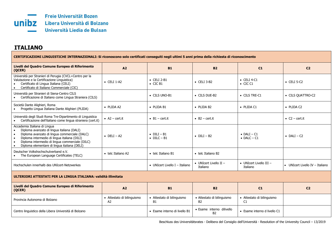

# **ITALIANO**

| CERTIFICAZIONI LINGUISTICHE INTERNAZIONALI: Si riconoscono solo certificati conseguiti negli ultimi 5 anni prima della richiesta di riconoscimento                                                                                                                                          |                                  |                                            |                                              |                                            |                                 |  |
|---------------------------------------------------------------------------------------------------------------------------------------------------------------------------------------------------------------------------------------------------------------------------------------------|----------------------------------|--------------------------------------------|----------------------------------------------|--------------------------------------------|---------------------------------|--|
| Livelli del Quadro Comune Europeo di Riferimento<br>(QCER)                                                                                                                                                                                                                                  | A2                               | <b>B1</b>                                  | <b>B2</b>                                    | C1                                         | C <sub>2</sub>                  |  |
| Università per Stranieri di Perugia (CVCL=Centro per la<br>Valutazione e la Certificazione Linguistica)<br>Certificato di Lingua Italiana (CELI)<br>Certificato di Italiano Commerciale (CIC)<br>$\bullet$                                                                                  | $\bullet$ CELI 1-A2              | $\bullet$ CELI 2-B1<br>$\bullet$ CIC B1    | $\bullet$ CELI 3-B2                          | $\bullet$ CELI 4-C1<br>$\bullet$ CIC C1    | $\bullet$ CELI 5-C2             |  |
| Università per Stranieri di Siena-Centro CILS<br>Certificazione di Italiano come Lingua Straniera (CILS)                                                                                                                                                                                    |                                  | • CILS UNO-B1                              | $\bullet$ CILS DUE-B2                        | $\bullet$ CILS TRE-C1                      | • CILS QUATTRO-C2               |  |
| Società Dante Alighieri, Roma<br>Progetto Lingua Italiana Dante Alighieri (PLIDA)<br>$\bullet$                                                                                                                                                                                              | • PLIDA A2                       | • PLIDA B1                                 | • PLIDA B2                                   | · PLIDA C1                                 | • PLIDA C2                      |  |
| Università degli Studi Roma Tre-Dipartimento di Linguistica<br>Certificazione dell'italiano come lingua straniera (cert.it)                                                                                                                                                                 | • $A2 - cert.it$                 | $-B1 - cert.it$                            | $\bullet$ B2 – cert.it                       |                                            | • $C2$ – cert.it                |  |
| Accademia Italiana di Lingua<br>Diploma avanzato di lingua italiana (DALI)<br>$\bullet$<br>Diploma avanzato di lingua commerciale (DALC)<br>Diploma intermedio di lingua italiana (DILI)<br>Diploma intermedio di lingua commerciale (DILC)<br>Diploma elementare di lingua italiana (DELI) | $\bullet$ DELI - A2              | $\bullet$ DILI - B1<br>$\bullet$ DILC - B1 | $\bullet$ DILI – B2                          | $\bullet$ DALI - C1<br>$\bullet$ DALC - C1 | $\bullet$ DALI – C2             |  |
| Deutscher Volkshochschulverband e.V.<br>The European Language Certificates (TELC)                                                                                                                                                                                                           | • telc Italiano A2               | • telc Italiano B1                         | • telc Italiano B2                           |                                            |                                 |  |
| Hochschulen innerhalb des UNIcert-Netzwerkes                                                                                                                                                                                                                                                |                                  | • UNIcert Livello I - Italiano             | • UNIcert Livello II $-$<br>Italiano         | • UNIcert Livello III -<br>Italiano        | • UNIcert Livello IV - Italiano |  |
| ULTERIORI ATTESTATI PER LA LINGUA ITALIANA: validità illimitata                                                                                                                                                                                                                             |                                  |                                            |                                              |                                            |                                 |  |
| Livelli del Quadro Comune Europeo di Riferimento<br>(QCER)                                                                                                                                                                                                                                  | A2                               | <b>B1</b>                                  | <b>B2</b>                                    | C1                                         | C <sub>2</sub>                  |  |
| Provincia Autonoma di Bolzano                                                                                                                                                                                                                                                               | • Attestato di bilinguismo<br>A2 | • Attestato di bilinguismo<br><b>B1</b>    | · Attestato di bilinguismo<br>B <sub>2</sub> | • Attestato di bilinguismo<br>C1           |                                 |  |
| Centro linguistico della Libera Università di Bolzano                                                                                                                                                                                                                                       |                                  | · Esame interno di livello B1              | · Esame interno dilivello<br>B <sub>2</sub>  | • Esame interno d livello C1               |                                 |  |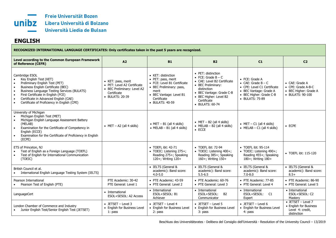

### **ENGLISH**

| RECOGNIZED INTERNATIONAL LANGUAGE CERTIFICATES: Only certificates taken in the past 5 years are recognized.                                                                                                                                                                                                                                                                        |                                                                                                                    |                                                                                                                                                                           |                                                                                                                                                                                                        |                                                                                                                                                       |                                                                                         |  |
|------------------------------------------------------------------------------------------------------------------------------------------------------------------------------------------------------------------------------------------------------------------------------------------------------------------------------------------------------------------------------------|--------------------------------------------------------------------------------------------------------------------|---------------------------------------------------------------------------------------------------------------------------------------------------------------------------|--------------------------------------------------------------------------------------------------------------------------------------------------------------------------------------------------------|-------------------------------------------------------------------------------------------------------------------------------------------------------|-----------------------------------------------------------------------------------------|--|
| Level according to the Common European Framework<br>of Reference (CEFR)                                                                                                                                                                                                                                                                                                            | A2                                                                                                                 | <b>B1</b>                                                                                                                                                                 | <b>B2</b>                                                                                                                                                                                              | C1                                                                                                                                                    | C <sub>2</sub>                                                                          |  |
| Cambridge ESOL<br>Key English Test (KET)<br>Preliminary English Test (PET)<br>$\bullet$<br>Business English Certificate (BEC)<br>$\bullet$<br><b>Business Language Testing Services (BULATS)</b><br>$\bullet$<br>First Certificate in English (FCE)<br>$\bullet$<br>Certificate in Advanced English (CAE)<br>$\bullet$<br>Certificate of Proficiency in English (CPE)<br>$\bullet$ | • KET: pass, merit<br>• PET: Level A2 Certificate<br>• BEC Preliminary: Level A2<br>Certificate<br>• BULATS: 20-39 | • KET: distinction<br>• PET: pass, merit<br>• FCE: Level B1 Certificate<br>• BEC Preliminary: pass,<br>merit<br>• BEC Vantage: Level B1<br>Certificate<br>• BULATS: 40-59 | • PET: distinction<br>• FCE: Grade $B - C$<br>• CAE: Level B2 Certificate<br>• BEC Preliminary:<br>distinction<br>• BEC Vantage: Grade C-B<br>• BEC Higher: Level B2<br>Certificate<br>• BULATS: 60-74 | $\bullet$ FCE: Grade A<br>• CAE: Grade $B - C$<br>• CPE: Level C1 Certificate<br>• BEC Vantage: Grade A<br>• BEC Higher: Grade C-B<br>• BULATS: 75-89 | • CAE: Grade A<br>• CPE: Grade A-B-C<br>• BEC Higher: Grade A<br>• BULATS: 90-100       |  |
| University of Michigan<br>Michigan English Test (MET)<br>Michigan English Language Assessment Battery<br>$\bullet$<br>(MELAB)<br>Examination for the Certificate of Competency in<br>$\bullet$<br>English (ECCE)<br>Examination for the Certificate of Proficiency in English<br>$\bullet$<br>(ECPE)                                                                               | • $MET - A2$ (all 4 skills)                                                                                        | $\bullet$ MET – B1 (all 4 skills)<br>• MELAB $- B1$ (all 4 skills)                                                                                                        | • MET $-$ B2 (all 4 skills)<br>• MELAB $-$ B2 (all 4 skills)<br>$\bullet$ ECCE                                                                                                                         | $\bullet$ MET - C1 (all 4 skills)<br>• MELAB $- C1$ (all 4 skills)                                                                                    | $\bullet$ ECPE                                                                          |  |
| ETS of Princeton, NJ<br>Test of English as a Foreign Language (TOEFL)<br>Test of English for International Communication<br>(TOEIC)                                                                                                                                                                                                                                                |                                                                                                                    | • TOEFL ibt: 42-71<br>• TOEIC: Listening 275+;<br>Reading 275+; Speaking<br>120+; Writing 120+                                                                            | • TOEFL ibt: 72-94<br>• TOEIC: Listening 400+;<br>Reading 385+; Speaking<br>160+; Writing 150+                                                                                                         | • TOEFL ibt: 95-114<br>• TOEIC: Listening 490+;<br>Reading 455+; Speaking<br>180+; Writing 180+                                                       | • TOEFL ibt: 115-120                                                                    |  |
| British Council et al.<br>International English Language Testing System (IELTS)                                                                                                                                                                                                                                                                                                    |                                                                                                                    | • IELTS (General &<br>academic): Band score:<br>$4.0 - 5.0$                                                                                                               | • IELTS (General &<br>academic): Band score:<br>$5.5 - 6.5$                                                                                                                                            | • IELTS (General &<br>academic): Band score:<br>$7.0 - 8.0$                                                                                           | • IELTS (General &<br>academic): Band score:<br>$8.5+$                                  |  |
| Pearson International<br>Pearson Test of English (PTE)                                                                                                                                                                                                                                                                                                                             | PTE Academic: 30-42<br>PTE General: Level 1                                                                        | • PTE Academic: 43-59<br>• PTE General: Level 2                                                                                                                           | • PTE Academic: 60-76<br>• PTE General: Level 3                                                                                                                                                        | • PTE Academic: 77-85<br>• PTE General: Level 4                                                                                                       | • PTE Academic: 86-90<br>• PTE General: Level 5                                         |  |
| LanguageCert                                                                                                                                                                                                                                                                                                                                                                       | • International<br>ESOL+SESOL: A2 Access                                                                           | • International<br>ESOL+SESOL: B1<br>Achiever                                                                                                                             | • International<br>ESOL+SESOL:<br><b>B2</b><br>Communicator                                                                                                                                            | • International<br>ESOL+SESOL:<br>C1<br>Expert                                                                                                        | • International<br>ESOL+SESOL: C2<br>Mastery                                            |  |
| London Chamber of Commerce and Industry<br>Junior English Test/Senior English Test (JETSET)                                                                                                                                                                                                                                                                                        | $\bullet$ JETSET - Level 3<br>• English for Business Level<br>1: pass                                              | $\bullet$ JETSET - Level 4<br>• English for Business Level<br>2: pass                                                                                                     | $\bullet$ JETSET - Level 5<br>• English for Business Level<br>3: pass                                                                                                                                  | $\bullet$ JETSET - Level 6<br>• English for Business Level<br>4: pass                                                                                 | $\bullet$ JETSET - Level 7<br>• English for Business<br>Level 4: credit,<br>distinction |  |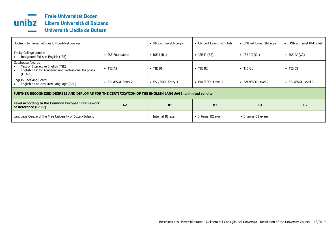

| Hochschulen innerhalb des UNIcert-Netzwerkes                                                                            |                    | • UNIcert Level I-English | • UNIcert Level II-English | • UNIcert Level III-English | • UNIcert Level IV-English |  |  |
|-------------------------------------------------------------------------------------------------------------------------|--------------------|---------------------------|----------------------------|-----------------------------|----------------------------|--|--|
| Trinity College London<br>Integrated Skills in English (ISE)                                                            | • ISE Foundation   | $\bullet$ ISE I (B1)      | $\bullet$ ISE II (B2)      | $\bullet$ ISE III (C1)      | $\bullet$ ISE IV (C2)      |  |  |
| Gatehouse Awards<br>Test of Interactive English (TIE)<br>English Test for Academic and Professional Purposes<br>(ETAPP) | $\bullet$ TIE A2   | $\bullet$ TIE B1          | $\bullet$ TIE B2           | $\bullet$ TIE C1            | $\bullet$ TIE C2           |  |  |
| English Speaking Board<br>English as an Acquired Language (EAL)                                                         | • EAL/ESOL Entry 2 | • EAL/ESOL Entry 3        | • EAL/ESOL Level 1         | • EAL/ESOL Level 2          | • EAL/ESOL Level 3         |  |  |
| FURTHER RECOGNIZED DEGREES AND DIPLOMAS FOR THE CERTIFICATION OF THE ENGLISH LANGUAGE: unlimited validity               |                    |                           |                            |                             |                            |  |  |
| Level according to the Common European Framework<br>of Reference (CEFR)                                                 | A2                 | <b>B1</b>                 | <b>B2</b>                  | C <sub>1</sub>              | C <sub>2</sub>             |  |  |
| Language Centre of the Free University of Bozen-Bolzano                                                                 |                    | Internal B1 exam          | $\bullet$ Internal B2 exam | • Internal C1 exam          |                            |  |  |